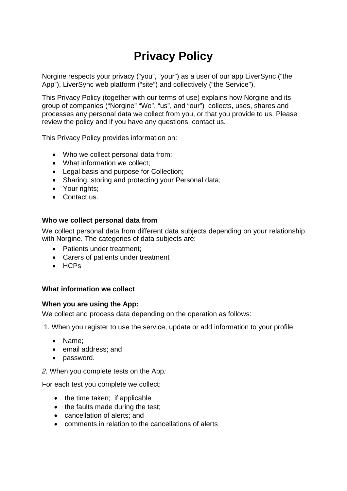# **Privacy Policy**

Norgine respects your privacy ("you", "your") as a user of our app LiverSync ("the App"), LiverSync web platform ("site") and collectively ("the Service").

This Privacy Policy (together with our terms of use) explains how Norgine and its group of companies ("Norgine" "We", "us", and "our") collects, uses, shares and processes any personal data we collect from you, or that you provide to us. Please review the policy and if you have any questions, contact us.

This Privacy Policy provides information on:

- Who we collect personal data from;
- What information we collect:
- Legal basis and purpose for Collection;
- Sharing, storing and protecting your Personal data;
- Your rights:
- Contact us.

#### **Who we collect personal data from**

We collect personal data from different data subjects depending on your relationship with Norgine. The categories of data subjects are:

- Patients under treatment:
- Carers of patients under treatment
- HCPs

#### **What information we collect**

#### **When you are using the App:**

We collect and process data depending on the operation as follows:

1. When you register to use the service, update or add information to your profile:

- Name;
- email address; and
- password.
- *2.* When you complete tests on the App*:*

For each test you complete we collect:

- the time taken; if applicable
- the faults made during the test;
- cancellation of alerts; and
- comments in relation to the cancellations of alerts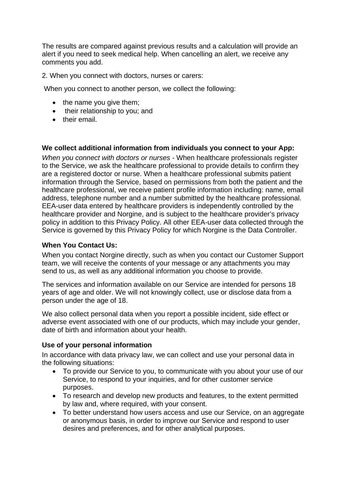The results are compared against previous results and a calculation will provide an alert if you need to seek medical help. When cancelling an alert, we receive any comments you add.

2. When you connect with doctors, nurses or carers:

When you connect to another person, we collect the following:

- the name you give them;
- their relationship to you; and
- their email.

### **We collect additional information from individuals you connect to your App:**

*When you connect with doctors or nurses -* When healthcare professionals register to the Service, we ask the healthcare professional to provide details to confirm they are a registered doctor or nurse. When a healthcare professional submits patient information through the Service, based on permissions from both the patient and the healthcare professional, we receive patient profile information including: name, email address, telephone number and a number submitted by the healthcare professional. EEA-user data entered by healthcare providers is independently controlled by the healthcare provider and Norgine, and is subject to the healthcare provider's privacy policy in addition to this Privacy Policy. All other EEA-user data collected through the Service is governed by this Privacy Policy for which Norgine is the Data Controller.

### **When You Contact Us:**

When you contact Norgine directly, such as when you contact our Customer Support team, we will receive the contents of your message or any attachments you may send to us, as well as any additional information you choose to provide.

The services and information available on our Service are intended for persons 18 years of age and older. We will not knowingly collect, use or disclose data from a person under the age of 18.

We also collect personal data when you report a possible incident, side effect or adverse event associated with one of our products, which may include your gender, date of birth and information about your health.

### **Use of your personal information**

In accordance with data privacy law, we can collect and use your personal data in the following situations:

- To provide our Service to you, to communicate with you about your use of our Service, to respond to your inquiries, and for other customer service purposes.
- To research and develop new products and features, to the extent permitted by law and, where required, with your consent.
- To better understand how users access and use our Service, on an aggregate or anonymous basis, in order to improve our Service and respond to user desires and preferences, and for other analytical purposes.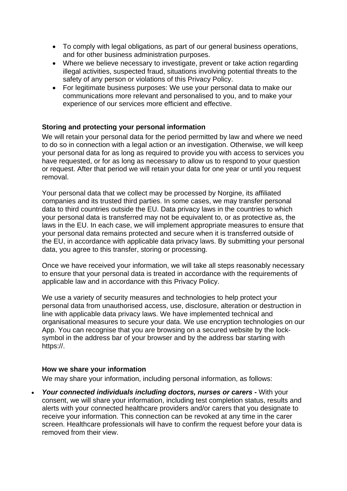- To comply with legal obligations, as part of our general business operations, and for other business administration purposes.
- Where we believe necessary to investigate, prevent or take action regarding illegal activities, suspected fraud, situations involving potential threats to the safety of any person or violations of this Privacy Policy.
- For legitimate business purposes: We use your personal data to make our communications more relevant and personalised to you, and to make your experience of our services more efficient and effective.

# **Storing and protecting your personal information**

We will retain your personal data for the period permitted by law and where we need to do so in connection with a legal action or an investigation. Otherwise, we will keep your personal data for as long as required to provide you with access to services you have requested, or for as long as necessary to allow us to respond to your question or request. After that period we will retain your data for one year or until you request removal.

Your personal data that we collect may be processed by Norgine, its affiliated companies and its trusted third parties. In some cases, we may transfer personal data to third countries outside the EU. Data privacy laws in the countries to which your personal data is transferred may not be equivalent to, or as protective as, the laws in the EU. In each case, we will implement appropriate measures to ensure that your personal data remains protected and secure when it is transferred outside of the EU, in accordance with applicable data privacy laws. By submitting your personal data, you agree to this transfer, storing or processing.

Once we have received your information, we will take all steps reasonably necessary to ensure that your personal data is treated in accordance with the requirements of applicable law and in accordance with this Privacy Policy.

We use a variety of security measures and technologies to help protect your personal data from unauthorised access, use, disclosure, alteration or destruction in line with applicable data privacy laws. We have implemented technical and organisational measures to secure your data. We use encryption technologies on our App. You can recognise that you are browsing on a secured website by the locksymbol in the address bar of your browser and by the address bar starting with https://.

### **How we share your information**

We may share your information, including personal information, as follows:

• *Your connected individuals including doctors, nurses or carers -* With your consent, we will share your information, including test completion status, results and alerts with your connected healthcare providers and/or carers that you designate to receive your information. This connection can be revoked at any time in the carer screen. Healthcare professionals will have to confirm the request before your data is removed from their view.